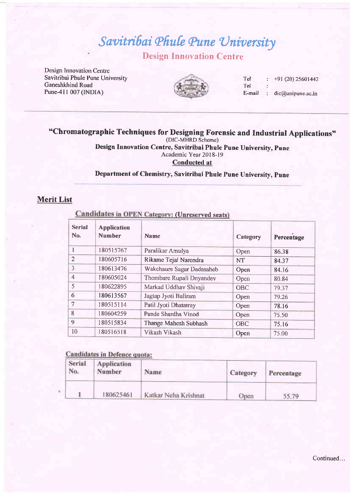# Savitribai Phule Pune University Design Innovation Centre

Design Innovation Centre Savitribai Phule Pune University Ganeshkhind Road

Pune-411 007 (INDIA)



Tel : Tel : E-mail : dic@unipune.ac.in +91 (20) 25601442

# "Chromatographic Techniques for Designing Forensic and Industrial Applications"<br>
(DIC-MHRD Scheme)

Design Innovation Centre, Savitribai Phule Pune Universitv. pune

Academic Year 2018-19

Conducted at

### Department of Chemistry, Savitribai Phule Pune University, pune

### Merit List

## Candidates in OPEN Category: (Unreserved seats)

| <b>Serial</b><br>No. | <b>Application</b><br><b>Number</b> | <b>Name</b>               | Category   | Percentage |
|----------------------|-------------------------------------|---------------------------|------------|------------|
|                      | 180515767                           | Paralikar Amulya          | Open       | 86.38      |
| $\overline{2}$       | 180605716                           | Rikame Tejal Narendra     | <b>NT</b>  | 84.37      |
| 3                    | 180613476                           | Wakchaure Sagar Dadasaheb | Open       | 84.16      |
| $\overline{4}$       | 180605024                           | Thombare Rupali Dnyandev  | Open       | 80.84      |
| 5                    | 180622895                           | Markad Uddhav Shivaji     | <b>OBC</b> | 79.37      |
| 6                    | 180613567                           | Jagtap Jyoti Baliram      | Open       | 79.26      |
| 7                    | 180515114                           | Patil Jyoti Dhatatray     | Open       | 78.16      |
| 8                    | 180604259                           | Pande Shardha Vinod       | Open       | 75.50      |
| 9                    | 180515834                           | Thange Mahesh Subhash     | <b>OBC</b> | 75.16      |
| 10                   | 180516518                           | Vikash Vikash             | Open       | 75.00      |

#### **Candidates in Defence quota:**

| Serial<br>No. | Application<br>Number | Name                 | Category | Percentage |
|---------------|-----------------------|----------------------|----------|------------|
|               | 180625461             | Katkar Neha Krishnat | Open     | 55.79      |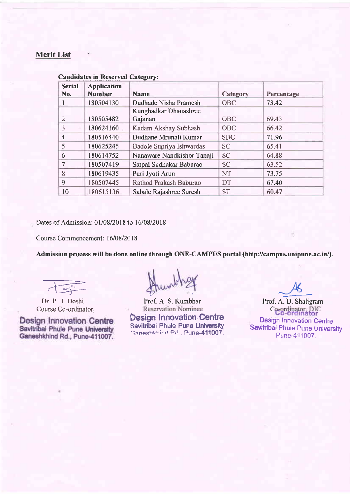## Merit List

| <b>Serial</b><br>No. | <b>Application</b><br><b>Number</b> | <b>Name</b>                | Category   | Percentage |
|----------------------|-------------------------------------|----------------------------|------------|------------|
|                      | 180504130                           | Dudhade Nisha Pramesh      | <b>OBC</b> | 73.42      |
|                      |                                     | Kunghadkar Dhanashree      |            |            |
| 2                    | 180505482                           | Gajanan                    | <b>OBC</b> | 69.43      |
| 3                    | 180624160                           | Kadam Akshay Subhash       | <b>OBC</b> | 66.42      |
| $\overline{4}$       | 180516440                           | Dudhane Mrunali Kumar      | <b>SBC</b> | 71.96      |
| 5                    | 180625245                           | Badole Supriya Ishwardas   | <b>SC</b>  | 65.41      |
| 6                    | 180614752                           | Nanaware Nandkishor Tanaji | <b>SC</b>  | 64.88      |
| $\tau$               | 180507419                           | Satpal Sudhakar Baburao    | <b>SC</b>  | 63.52      |
| 8                    | 180619435                           | Puri Jyoti Arun            | <b>NT</b>  | 73.75      |
| 9                    | 180507445                           | Rathod Prakash Baburao     | DT         | 67.40      |
| 10                   | 180615136                           | Sabale Rajashree Suresh    | <b>ST</b>  | 60.47      |

#### Candidates in Reserved Category:

Dates of Admission:01/08/2018 to 16/08/2018

Course Commencement: 16/08/2018

Admission process will be done online through ONE-CAMPUS portal (http://campus.unipune.ac.in/).

Course Co-ordinator,

**Design Innovation Centre** Savitribal Phule Pune University Ganeshkhind Rd., Pune-411007.

France Munder of A. D. Shall v

Dr. P. J. Doshi Prof. A. S. Kumbhar Prof. A. D. Shaligram Ourse Co-ordinator, Neservation Nominee Co-ordinator, DIC Design Innovation Centre Savitribai Phule Pune University Caneshkhind Pd., Pune-411007. Prof. A. S. Kumbhar

Co-ordinator, DIC Design Innovation Centre Savitribai Phule Pune University Pune-411007.